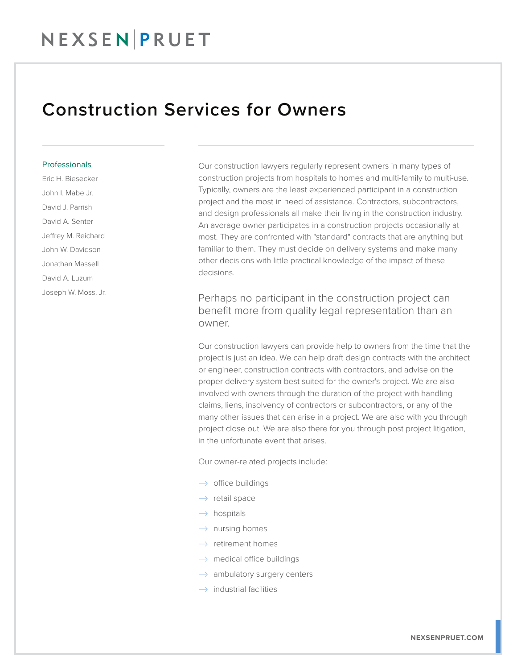## Construction Services for Owners

## **Professionals**

Eric H. Biesecker John I. Mabe Jr. David J. Parrish David A. Senter Jeffrey M. Reichard John W. Davidson Jonathan Massell David A. Luzum Joseph W. Moss, Jr. Our construction lawyers regularly represent owners in many types of construction projects from hospitals to homes and multi-family to multi-use. Typically, owners are the least experienced participant in a construction project and the most in need of assistance. Contractors, subcontractors, and design professionals all make their living in the construction industry. An average owner participates in a construction projects occasionally at most. They are confronted with "standard" contracts that are anything but familiar to them. They must decide on delivery systems and make many other decisions with little practical knowledge of the impact of these decisions.

Perhaps no participant in the construction project can benefit more from quality legal representation than an owner.

Our construction lawyers can provide help to owners from the time that the project is just an idea. We can help draft design contracts with the architect or engineer, construction contracts with contractors, and advise on the proper delivery system best suited for the owner's project. We are also involved with owners through the duration of the project with handling claims, liens, insolvency of contractors or subcontractors, or any of the many other issues that can arise in a project. We are also with you through project close out. We are also there for you through post project litigation, in the unfortunate event that arises.

Our owner-related projects include:

- $\rightarrow$  office buildings
- $\rightarrow$  retail space
- $\rightarrow$  hospitals
- $\rightarrow$  nursing homes
- $\rightarrow$  retirement homes
- $\rightarrow$  medical office buildings
- $\rightarrow$  ambulatory surgery centers
- $\rightarrow$  industrial facilities